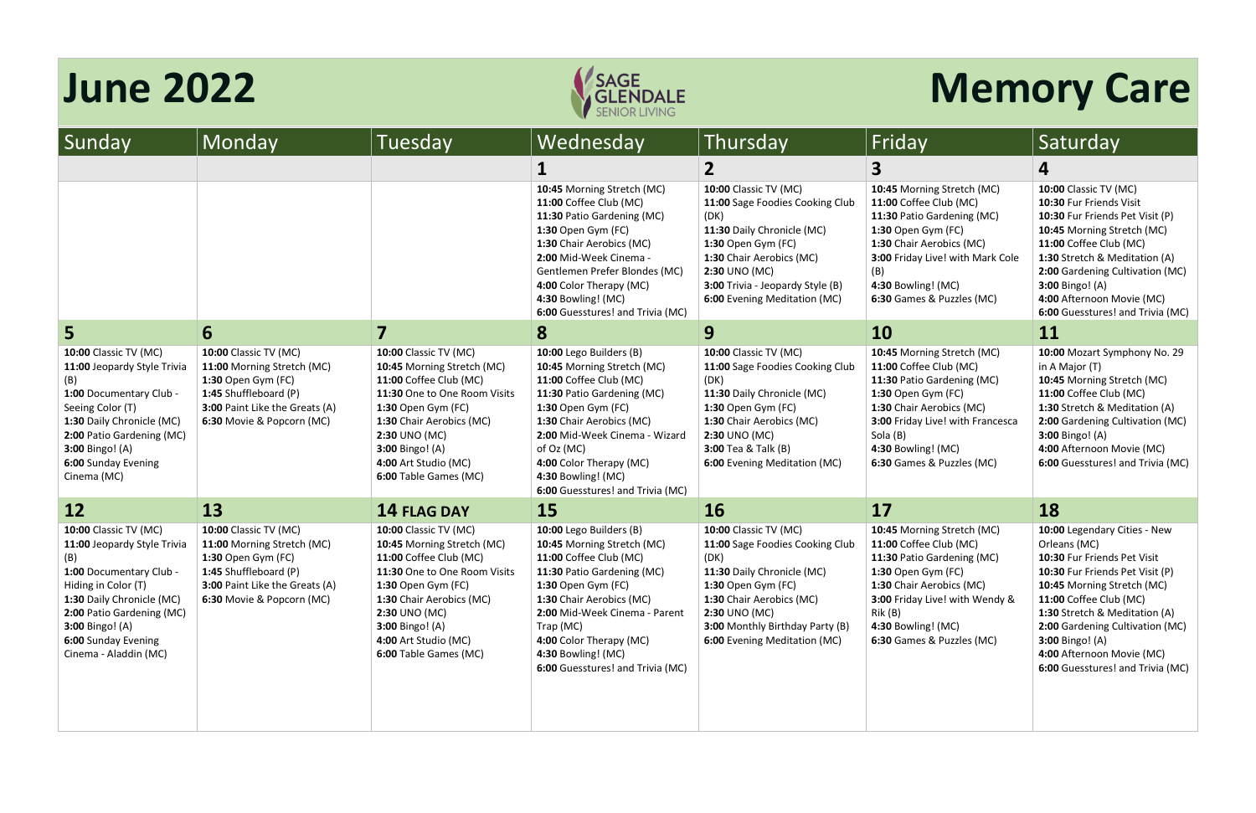| 10:00 Classic TV (MC)            |
|----------------------------------|
| 10:30 Fur Friends Visit          |
| 10:30 Fur Friends Pet Visit (P)  |
| 10:45 Morning Stretch (MC)       |
| 11:00 Coffee Club (MC)           |
| 1:30 Stretch & Meditation (A)    |
| 2:00 Gardening Cultivation (MC)  |
| 3:00 Bingo! (A)                  |
| 4:00 Afternoon Movie (MC)        |
| 6:00 Guesstures! and Trivia (MC) |



| Sunday                                                                                                                                                                                                                                                   | Monday                                                                                                                                                                   | Tuesday                                                                                                                                                                                                                                                            | Wednesday                                                                                                                                                                                                                                                                                           | Thursday                                                                                                                                                                                                                                            | Friday                                                                                                                                                                                                                                  | Saturday                                                                                                                                                                                                                        |
|----------------------------------------------------------------------------------------------------------------------------------------------------------------------------------------------------------------------------------------------------------|--------------------------------------------------------------------------------------------------------------------------------------------------------------------------|--------------------------------------------------------------------------------------------------------------------------------------------------------------------------------------------------------------------------------------------------------------------|-----------------------------------------------------------------------------------------------------------------------------------------------------------------------------------------------------------------------------------------------------------------------------------------------------|-----------------------------------------------------------------------------------------------------------------------------------------------------------------------------------------------------------------------------------------------------|-----------------------------------------------------------------------------------------------------------------------------------------------------------------------------------------------------------------------------------------|---------------------------------------------------------------------------------------------------------------------------------------------------------------------------------------------------------------------------------|
|                                                                                                                                                                                                                                                          |                                                                                                                                                                          |                                                                                                                                                                                                                                                                    |                                                                                                                                                                                                                                                                                                     |                                                                                                                                                                                                                                                     | 3                                                                                                                                                                                                                                       | 4                                                                                                                                                                                                                               |
|                                                                                                                                                                                                                                                          |                                                                                                                                                                          |                                                                                                                                                                                                                                                                    | 10:45 Morning Stretch (MC)<br>11:00 Coffee Club (MC)<br>11:30 Patio Gardening (MC)<br>1:30 Open Gym (FC)<br>1:30 Chair Aerobics (MC)<br>2:00 Mid-Week Cinema -<br>Gentlemen Prefer Blondes (MC)<br>4:00 Color Therapy (MC)<br>4:30 Bowling! (MC)<br>6:00 Guesstures! and Trivia (MC)                | <b>10:00 Classic TV (MC)</b><br>11:00 Sage Foodies Cooking Club<br>(DK)<br>11:30 Daily Chronicle (MC)<br>1:30 Open Gym (FC)<br>1:30 Chair Aerobics (MC)<br>2:30 UNO (MC)<br><b>3:00</b> Trivia - Jeopardy Style (B)<br>6:00 Evening Meditation (MC) | 10:45 Morning Stretch (MC)<br>11:00 Coffee Club (MC)<br>11:30 Patio Gardening (MC)<br>1:30 Open Gym (FC)<br>1:30 Chair Aerobics (MC)<br>3:00 Friday Live! with Mark Cole<br>(B)<br>4:30 Bowling! (MC)<br>6:30 Games & Puzzles (MC)      | 10:00 Classic TV (<br>10:30 Fur Friends<br>10:30 Fur Friends<br>10:45 Morning St<br>11:00 Coffee Club<br>1:30 Stretch & Me<br>2:00 Gardening Co<br><b>3:00 Bingo!</b> (A)<br>4:00 Afternoon M<br>6:00 Guesstures!               |
| 5                                                                                                                                                                                                                                                        | 6                                                                                                                                                                        |                                                                                                                                                                                                                                                                    | 8                                                                                                                                                                                                                                                                                                   | 9                                                                                                                                                                                                                                                   | <b>10</b>                                                                                                                                                                                                                               | 11                                                                                                                                                                                                                              |
| <b>10:00 Classic TV (MC)</b><br>11:00 Jeopardy Style Trivia<br>(B)<br>1:00 Documentary Club -<br>Seeing Color (T)<br>1:30 Daily Chronicle (MC)<br>2:00 Patio Gardening (MC)<br>3:00 Bingo! (A)<br>6:00 Sunday Evening<br>Cinema (MC)                     | <b>10:00 Classic TV (MC)</b><br>11:00 Morning Stretch (MC)<br>1:30 Open Gym (FC)<br>1:45 Shuffleboard (P)<br>3:00 Paint Like the Greats (A)<br>6:30 Movie & Popcorn (MC) | <b>10:00 Classic TV (MC)</b><br>10:45 Morning Stretch (MC)<br>11:00 Coffee Club (MC)<br>11:30 One to One Room Visits<br>1:30 Open Gym (FC)<br>1:30 Chair Aerobics (MC)<br>2:30 UNO (MC)<br><b>3:00 Bingo!</b> (A)<br>4:00 Art Studio (MC)<br>6:00 Table Games (MC) | 10:00 Lego Builders (B)<br>10:45 Morning Stretch (MC)<br>11:00 Coffee Club (MC)<br>11:30 Patio Gardening (MC)<br>1:30 Open Gym (FC)<br>1:30 Chair Aerobics (MC)<br>2:00 Mid-Week Cinema - Wizard<br>of Oz (MC)<br>4:00 Color Therapy (MC)<br>4:30 Bowling! (MC)<br>6:00 Guesstures! and Trivia (MC) | <b>10:00 Classic TV (MC)</b><br>11:00 Sage Foodies Cooking Club<br>(DK)<br>11:30 Daily Chronicle (MC)<br>1:30 Open Gym (FC)<br>1:30 Chair Aerobics (MC)<br>2:30 UNO (MC)<br><b>3:00 Tea &amp; Talk (B)</b><br>6:00 Evening Meditation (MC)          | 10:45 Morning Stretch (MC)<br>11:00 Coffee Club (MC)<br>11:30 Patio Gardening (MC)<br>1:30 Open Gym (FC)<br>1:30 Chair Aerobics (MC)<br>3:00 Friday Live! with Francesca<br>Sola (B)<br>4:30 Bowling! (MC)<br>6:30 Games & Puzzles (MC) | 10:00 Mozart Syn<br>in A Major (T)<br>10:45 Morning Str<br>11:00 Coffee Club<br>1:30 Stretch & Me<br>2:00 Gardening C<br><b>3:00 Bingo!</b> (A)<br>4:00 Afternoon M<br>6:00 Guesstures!                                         |
| 12                                                                                                                                                                                                                                                       | 13                                                                                                                                                                       | <b>14 FLAG DAY</b>                                                                                                                                                                                                                                                 | 15                                                                                                                                                                                                                                                                                                  | <b>16</b>                                                                                                                                                                                                                                           | 17                                                                                                                                                                                                                                      | 18                                                                                                                                                                                                                              |
| <b>10:00 Classic TV (MC)</b><br>11:00 Jeopardy Style Trivia<br>(B)<br>1:00 Documentary Club -<br>Hiding in Color (T)<br>1:30 Daily Chronicle (MC)<br>2:00 Patio Gardening (MC)<br><b>3:00 Bingo!</b> (A)<br>6:00 Sunday Evening<br>Cinema - Aladdin (MC) | <b>10:00 Classic TV (MC)</b><br>11:00 Morning Stretch (MC)<br>1:30 Open Gym (FC)<br>1:45 Shuffleboard (P)<br>3:00 Paint Like the Greats (A)<br>6:30 Movie & Popcorn (MC) | <b>10:00 Classic TV (MC)</b><br>10:45 Morning Stretch (MC)<br>11:00 Coffee Club (MC)<br>11:30 One to One Room Visits<br>1:30 Open Gym (FC)<br>1:30 Chair Aerobics (MC)<br>2:30 UNO (MC)<br><b>3:00 Bingo!</b> (A)<br>4:00 Art Studio (MC)<br>6:00 Table Games (MC) | 10:00 Lego Builders (B)<br>10:45 Morning Stretch (MC)<br>11:00 Coffee Club (MC)<br>11:30 Patio Gardening (MC)<br>1:30 Open Gym (FC)<br>1:30 Chair Aerobics (MC)<br>2:00 Mid-Week Cinema - Parent<br>Trap (MC)<br>4:00 Color Therapy (MC)<br>4:30 Bowling! (MC)<br>6:00 Guesstures! and Trivia (MC)  | 10:00 Classic TV (MC)<br>11:00 Sage Foodies Cooking Club<br>(DK)<br>11:30 Daily Chronicle (MC)<br>1:30 Open Gym (FC)<br>1:30 Chair Aerobics (MC)<br>2:30 UNO (MC)<br>3:00 Monthly Birthday Party (B)<br>6:00 Evening Meditation (MC)                | 10:45 Morning Stretch (MC)<br>11:00 Coffee Club (MC)<br>11:30 Patio Gardening (MC)<br>1:30 Open Gym (FC)<br>1:30 Chair Aerobics (MC)<br>3:00 Friday Live! with Wendy &<br>Rik (B)<br>4:30 Bowling! (MC)<br>6:30 Games & Puzzles (MC)    | 10:00 Legendary (<br>Orleans (MC)<br>10:30 Fur Friends<br>10:30 Fur Friends<br>10:45 Morning St<br>11:00 Coffee Club<br>1:30 Stretch & Me<br>2:00 Gardening C<br><b>3:00 Bingo!</b> (A)<br>4:00 Afternoon M<br>6:00 Guesstures! |

# **June 2022 Memory Care**

# **ing Stretch (MC)** e Club (MC) **Gardening (MC)** Gym (FC) Aerobics (MC) Live! with Mark Cole

# **ing Stretch (MC)** e Club (MC) **Gardening (MC)** Gym (FC) **1** Aerobics (MC) Live! with Wendy &

**10:00** Legendary Cities - New Orleans (MC) **10:30** Fur Friends Pet Visit **10:30** Fur Friends Pet Visit (P) **10:45** Morning Stretch (MC) **11:00** Coffee Club (MC) **1:30** Stretch & Meditation (A) **2:00** Gardening Cultivation (MC) **3:00** Bingo! (A) **4:00** Afternoon Movie (MC) **6:00** Guesstures! and Trivia (MC)